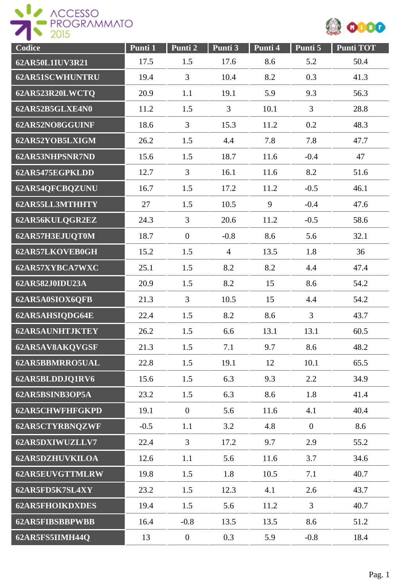



| Codice                 | Punti 1 | Punti 2          | Punti 3        | Punti 4 | Punti 5        | <b>Punti TOT</b> |
|------------------------|---------|------------------|----------------|---------|----------------|------------------|
| 62AR50L1IUV3R21        | 17.5    | 1.5              | 17.6           | 8.6     | 5.2            | 50.4             |
| <b>62AR51SCWHUNTRU</b> | 19.4    | 3                | 10.4           | 8.2     | 0.3            | 41.3             |
| 62AR523R20LWCTQ        | 20.9    | 1.1              | 19.1           | 5.9     | 9.3            | 56.3             |
| 62AR52B5GLXE4N0        | 11.2    | 1.5              | $\overline{3}$ | 10.1    | $\overline{3}$ | 28.8             |
| 62AR52NO8GGUINF        | 18.6    | 3                | 15.3           | 11.2    | 0.2            | 48.3             |
| 62AR52YOB5LXIGM        | 26.2    | 1.5              | 4.4            | 7.8     | 7.8            | 47.7             |
| 62AR53NHPSNR7ND        | 15.6    | 1.5              | 18.7           | 11.6    | $-0.4$         | 47               |
| 62AR5475EGPKLDD        | 12.7    | $\overline{3}$   | 16.1           | 11.6    | 8.2            | 51.6             |
| 62AR54QFCBQZUNU        | 16.7    | 1.5              | 17.2           | 11.2    | $-0.5$         | 46.1             |
| 62AR55LL3MTHHTY        | 27      | 1.5              | 10.5           | 9       | $-0.4$         | 47.6             |
| 62AR56KULQGR2EZ        | 24.3    | 3                | 20.6           | 11.2    | $-0.5$         | 58.6             |
| 62AR57H3EJUQT0M        | 18.7    | $\boldsymbol{0}$ | $-0.8$         | 8.6     | 5.6            | 32.1             |
| 62AR57LKOVEB0GH        | 15.2    | 1.5              | $\overline{4}$ | 13.5    | 1.8            | 36               |
| 62AR57XYBCA7WXC        | 25.1    | 1.5              | 8.2            | 8.2     | 4.4            | 47.4             |
| 62AR582J0IDU23A        | 20.9    | 1.5              | 8.2            | 15      | 8.6            | 54.2             |
| 62AR5A0SIOX6QFB        | 21.3    | 3                | 10.5           | 15      | 4.4            | 54.2             |
| 62AR5AHSIQDG64E        | 22.4    | 1.5              | 8.2            | 8.6     | 3              | 43.7             |
| <b>62AR5AUNHTJKTEY</b> | 26.2    | 1.5              | 6.6            | 13.1    | 13.1           | 60.5             |
| 62AR5AV8AKQVGSF        | 21.3    | 1.5              | 7.1            | 9.7     | 8.6            | 48.2             |
| 62AR5BBMRRO5UAL        | 22.8    | 1.5              | 19.1           | 12      | 10.1           | 65.5             |
| 62AR5BLDDJQ1RV6        | 15.6    | 1.5              | 6.3            | 9.3     | 2.2            | 34.9             |
| 62AR5BSINB3OP5A        | 23.2    | 1.5              | 6.3            | 8.6     | 1.8            | 41.4             |
| <b>62AR5CHWFHFGKPD</b> | 19.1    | $\overline{0}$   | 5.6            | 11.6    | 4.1            | 40.4             |
| 62AR5CTYRBNQZWF        | $-0.5$  | 1.1              | 3.2            | 4.8     | $\mathbf{0}$   | 8.6              |
| 62AR5DXIWUZLLV7        | 22.4    | 3                | 17.2           | 9.7     | 2.9            | 55.2             |
| <b>62AR5DZHUVKILOA</b> | 12.6    | 1.1              | 5.6            | 11.6    | 3.7            | 34.6             |
| 62AR5EUVGTTMLRW        | 19.8    | 1.5              | 1.8            | 10.5    | 7.1            | 40.7             |
| 62AR5FD5K7SL4XY        | 23.2    | 1.5              | 12.3           | 4.1     | 2.6            | 43.7             |
| <b>62AR5FHOIKDXDES</b> | 19.4    | 1.5              | 5.6            | 11.2    | $\overline{3}$ | 40.7             |
| <b>62AR5FIBSBBPWBB</b> | 16.4    | $-0.8$           | 13.5           | 13.5    | 8.6            | 51.2             |
| 62AR5FS5IIMH44Q        | 13      | $\mathbf{0}$     | 0.3            | 5.9     | $-0.8$         | 18.4             |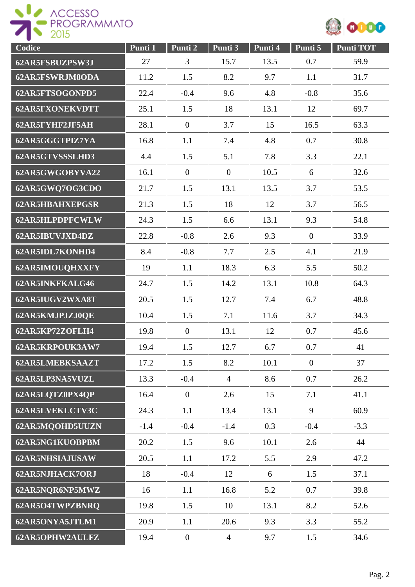

| Codice                 | Punti 1 | Punti 2          | Punti 3        | Punti 4 | Punti 5          | <b>Punti TOT</b> |
|------------------------|---------|------------------|----------------|---------|------------------|------------------|
| 62AR5FSBUZPSW3J        | 27      | 3                | 15.7           | 13.5    | 0.7              | 59.9             |
| 62AR5FSWRJM8ODA        | 11.2    | 1.5              | 8.2            | 9.7     | 1.1              | 31.7             |
| 62AR5FTSOGONPD5        | 22.4    | $-0.4$           | 9.6            | 4.8     | $-0.8$           | 35.6             |
| <b>62AR5FXONEKVDTT</b> | 25.1    | 1.5              | 18             | 13.1    | 12               | 69.7             |
| 62AR5FYHF2JF5AH        | 28.1    | $\boldsymbol{0}$ | 3.7            | 15      | 16.5             | 63.3             |
| 62AR5GGGTPIZ7YA        | 16.8    | 1.1              | 7.4            | 4.8     | 0.7              | 30.8             |
| 62AR5GTVSSSLHD3        | 4.4     | 1.5              | 5.1            | 7.8     | 3.3              | 22.1             |
| 62AR5GWGOBYVA22        | 16.1    | $\overline{0}$   | $\theta$       | 10.5    | 6                | 32.6             |
| 62AR5GWQ7OG3CDO        | 21.7    | 1.5              | 13.1           | 13.5    | 3.7              | 53.5             |
| <b>62AR5HBAHXEPGSR</b> | 21.3    | 1.5              | 18             | 12      | 3.7              | 56.5             |
| 62AR5HLPDPFCWLW        | 24.3    | 1.5              | 6.6            | 13.1    | 9.3              | 54.8             |
| 62AR5IBUVJXD4DZ        | 22.8    | $-0.8$           | 2.6            | 9.3     | $\boldsymbol{0}$ | 33.9             |
| 62AR5IDL7KONHD4        | 8.4     | $-0.8$           | 7.7            | 2.5     | 4.1              | 21.9             |
| 62AR5IMOUQHXXFY        | 19      | 1.1              | 18.3           | 6.3     | 5.5              | 50.2             |
| 62AR5INKFKALG46        | 24.7    | 1.5              | 14.2           | 13.1    | 10.8             | 64.3             |
| 62AR5IUGV2WXA8T        | 20.5    | 1.5              | 12.7           | 7.4     | 6.7              | 48.8             |
| 62AR5KMJPJZJ0QE        | 10.4    | 1.5              | 7.1            | 11.6    | 3.7              | 34.3             |
| 62AR5KP72ZOFLH4        | 19.8    | $\overline{0}$   | 13.1           | 12      | 0.7              | 45.6             |
| 62AR5KRPOUK3AW7        | 19.4    | 1.5              | 12.7           | 6.7     | 0.7              | 41               |
| <b>62AR5LMEBKSAAZT</b> | 17.2    | 1.5              | 8.2            | 10.1    | $\boldsymbol{0}$ | 37               |
| 62AR5LP3NA5VUZL        | 13.3    | $-0.4$           | $\overline{4}$ | 8.6     | 0.7              | 26.2             |
| 62AR5LQTZ0PX4QP        | 16.4    | $\overline{0}$   | 2.6            | 15      | 7.1              | 41.1             |
| 62AR5LVEKLCTV3C        | 24.3    | 1.1              | 13.4           | 13.1    | 9                | 60.9             |
| 62AR5MQOHD5UUZN        | $-1.4$  | $-0.4$           | $-1.4$         | 0.3     | $-0.4$           | $-3.3$           |
| 62AR5NG1KUOBPBM        | 20.2    | 1.5              | 9.6            | 10.1    | 2.6              | 44               |
| 62AR5NHSIAJUSAW        | 20.5    | 1.1              | 17.2           | 5.5     | 2.9              | 47.2             |
| <b>62AR5NJHACK7ORJ</b> | 18      | $-0.4$           | 12             | 6       | 1.5              | 37.1             |
| 62AR5NQR6NP5MWZ        | 16      | 1.1              | 16.8           | 5.2     | 0.7              | 39.8             |
| 62AR5O4TWPZBNRQ        | 19.8    | 1.5              | 10             | 13.1    | 8.2              | 52.6             |
| 62AR5ONYA5JTLM1        | 20.9    | 1.1              | 20.6           | 9.3     | 3.3              | 55.2             |
| 62AR5OPHW2AULFZ        | 19.4    | $\overline{0}$   | $\overline{4}$ | 9.7     | 1.5              | 34.6             |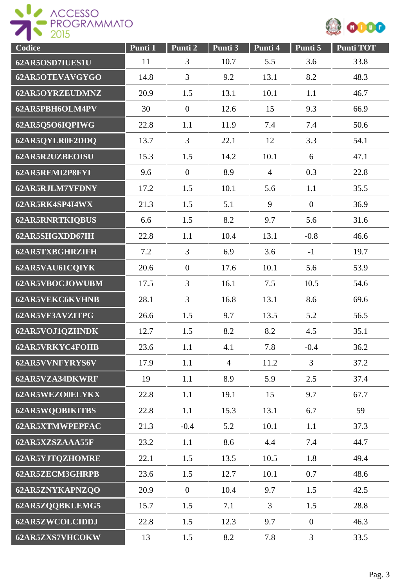ACCESSO



| Codice                 | Punti 1 | Punti 2          | Punti 3        | Punti 4        | Punti 5          | <b>Punti TOT</b> |
|------------------------|---------|------------------|----------------|----------------|------------------|------------------|
| 62AR5OSD7IUES1U        | 11      | 3                | 10.7           | 5.5            | 3.6              | 33.8             |
| 62AR5OTEVAVGYGO        | 14.8    | 3                | 9.2            | 13.1           | 8.2              | 48.3             |
| 62AR5OYRZEUDMNZ        | 20.9    | 1.5              | 13.1           | 10.1           | 1.1              | 46.7             |
| 62AR5PBH6OLM4PV        | 30      | $\boldsymbol{0}$ | 12.6           | 15             | 9.3              | 66.9             |
| 62AR5Q5O6IQPIWG        | 22.8    | 1.1              | 11.9           | 7.4            | 7.4              | 50.6             |
| 62AR5QYLR0F2DDQ        | 13.7    | 3                | 22.1           | 12             | 3.3              | 54.1             |
| 62AR5R2UZBEOISU        | 15.3    | 1.5              | 14.2           | 10.1           | 6                | 47.1             |
| 62AR5REMI2P8FYI        | 9.6     | $\overline{0}$   | 8.9            | $\overline{4}$ | 0.3              | 22.8             |
| 62AR5RJLM7YFDNY        | 17.2    | 1.5              | 10.1           | 5.6            | 1.1              | 35.5             |
| 62AR5RK4SP4I4WX        | 21.3    | 1.5              | 5.1            | 9              | $\mathbf{0}$     | 36.9             |
| <b>62AR5RNRTKIQBUS</b> | 6.6     | 1.5              | 8.2            | 9.7            | 5.6              | 31.6             |
| 62AR5SHGXDD67IH        | 22.8    | 1.1              | 10.4           | 13.1           | $-0.8$           | 46.6             |
| <b>62AR5TXBGHRZIFH</b> | 7.2     | 3                | 6.9            | 3.6            | $-1$             | 19.7             |
| 62AR5VAU61CQIYK        | 20.6    | $\boldsymbol{0}$ | 17.6           | 10.1           | 5.6              | 53.9             |
| 62AR5VBOCJOWUBM        | 17.5    | 3                | 16.1           | 7.5            | 10.5             | 54.6             |
| <b>62AR5VEKC6KVHNB</b> | 28.1    | 3                | 16.8           | 13.1           | 8.6              | 69.6             |
| 62AR5VF3AVZITPG        | 26.6    | 1.5              | 9.7            | 13.5           | 5.2              | 56.5             |
| 62AR5VOJ1QZHNDK        | 12.7    | 1.5              | 8.2            | 8.2            | 4.5              | 35.1             |
| <b>62AR5VRKYC4FOHB</b> | 23.6    | 1.1              | 4.1            | 7.8            | $-0.4$           | 36.2             |
| 62AR5VVNFYRYS6V        | 17.9    | 1.1              | $\overline{4}$ | 11.2           | $\overline{3}$   | 37.2             |
| 62AR5VZA34DKWRF        | 19      | 1.1              | 8.9            | 5.9            | 2.5              | 37.4             |
| 62AR5WEZO0ELYKX        | 22.8    | 1.1              | 19.1           | 15             | 9.7              | 67.7             |
| <b>62AR5WQOBIKITBS</b> | 22.8    | 1.1              | 15.3           | 13.1           | 6.7              | 59               |
| <b>62AR5XTMWPEPFAC</b> | 21.3    | $-0.4$           | 5.2            | 10.1           | 1.1              | 37.3             |
| 62AR5XZSZAAA55F        | 23.2    | 1.1              | 8.6            | 4.4            | 7.4              | 44.7             |
| <b>62AR5YJTQZHOMRE</b> | 22.1    | 1.5              | 13.5           | 10.5           | 1.8              | 49.4             |
| <b>62AR5ZECM3GHRPB</b> | 23.6    | 1.5              | 12.7           | 10.1           | 0.7              | 48.6             |
| 62AR5ZNYKAPNZQO        | 20.9    | $\mathbf{0}$     | 10.4           | 9.7            | 1.5              | 42.5             |
| 62AR5ZQQBKLEMG5        | 15.7    | 1.5              | 7.1            | $\mathfrak{Z}$ | 1.5              | 28.8             |
| 62AR5ZWCOLCIDDJ        | 22.8    | 1.5              | 12.3           | 9.7            | $\boldsymbol{0}$ | 46.3             |
| 62AR5ZXS7VHCOKW        | 13      | 1.5              | 8.2            | 7.8            | 3                | 33.5             |